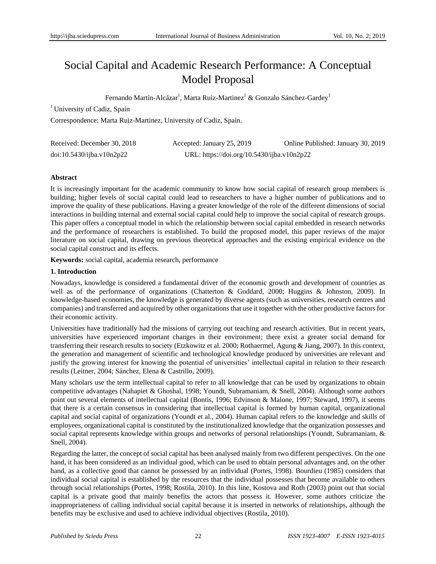# Social Capital and Academic Research Performance: A Conceptual Model Proposal

Fernando Mart ń-Alc ázar $^{\rm l}$ , Marta Ruiz-Martinez $^{\rm l}$  & Gonzalo S ánchez-Gardey $^{\rm l}$ 

<sup>1</sup> University of Cadiz, Spain

Correspondence: Marta Ruiz-Martinez, University of Cadiz, Spain.

| Received: December 30, 2018 | Accepted: January 25, 2019                 | Online Published: January 30, 2019 |
|-----------------------------|--------------------------------------------|------------------------------------|
| doi:10.5430/ijba.v10n2p22   | URL: https://doi.org/10.5430/ijba.v10n2p22 |                                    |

## **Abstract**

It is increasingly important for the academic community to know how social capital of research group members is building; higher levels of social capital could lead to researchers to have a higher number of publications and to improve the quality of these publications. Having a greater knowledge of the role of the different dimensions of social interactions in building internal and external social capital could help to improve the social capital of research groups. This paper offers a conceptual model in which the relationship between social capital embedded in research networks and the performance of researchers is established. To build the proposed model, this paper reviews of the major literature on social capital, drawing on previous theoretical approaches and the existing empirical evidence on the social capital construct and its effects.

**Keywords:** social capital, academia research, performance

## **1. Introduction**

Nowadays, knowledge is considered a fundamental driver of the economic growth and development of countries as well as of the performance of organizations (Chatterton & Goddard, 2000; Huggins & Johnston, 2009). In knowledge-based economies, the knowledge is generated by diverse agents (such as universities, research centres and companies) and transferred and acquired by other organizations that use it together with the other productive factors for their economic activity.

Universities have traditionally had the missions of carrying out teaching and research activities. But in recent years, universities have experienced important changes in their environment; there exist a greater social demand for transferring their research results to society (Etzkowitz et al. 2000; Rothaermel, Agung & Jiang, 2007). In this context, the generation and management of scientific and technological knowledge produced by universities are relevant and justify the growing interest for knowing the potential of universities' intellectual capital in relation to their research results (Leitner, 2004; Sánchez, Elena & Castrillo, 2009).

Many scholars use the term intellectual capital to refer to all knowledge that can be used by organizations to obtain competitive advantages (Nahapiet & Ghoshal, 1998; Youndt, Subramaniam, & Snell, 2004). Although some authors point out several elements of intellectual capital (Bontis, 1996; Edvinson & Malone, 1997; Steward, 1997), it seems that there is a certain consensus in considering that intellectual capital is formed by human capital, organizational capital and social capital of organizations (Youndt et al., 2004). Human capital refers to the knowledge and skills of employees, organizational capital is constituted by the institutionalized knowledge that the organization possesses and social capital represents knowledge within groups and networks of personal relationships (Youndt, Subramaniam, & Snell, 2004).

Regarding the latter, the concept of social capital has been analysed mainly from two different perspectives. On the one hand, it has been considered as an individual good, which can be used to obtain personal advantages and, on the other hand, as a collective good that cannot be possessed by an individual (Portes, 1998). Bourdieu (1985) considers that individual social capital is established by the resources that the individual possesses that become available to others through social relationships (Portes, 1998; Rostila, 2010). In this line, Kostova and Roth (2003) point out that social capital is a private good that mainly benefits the actors that possess it. However, some authors criticize the inappropriateness of calling individual social capital because it is inserted in networks of relationships, although the benefits may be exclusive and used to achieve individual objectives (Rostila, 2010).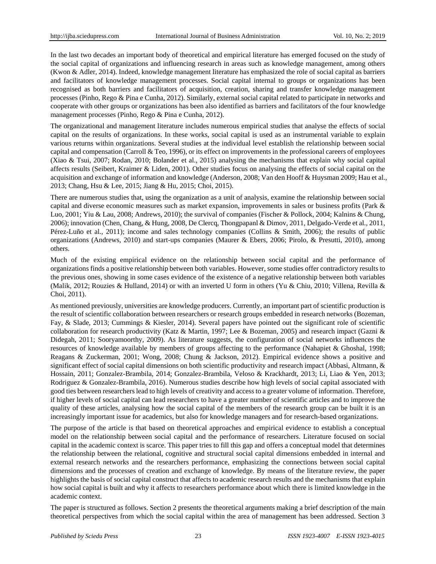In the last two decades an important body of theoretical and empirical literature has emerged focused on the study of the social capital of organizations and influencing research in areas such as knowledge management, among others (Kwon & Adler, 2014). Indeed, knowledge management literature has emphasized the role of social capital as barriers and facilitators of knowledge management processes. Social capital internal to groups or organizations has been recognised as both barriers and facilitators of acquisition, creation, sharing and transfer knowledge management processes (Pinho, Rego & Pina e Cunha, 2012). Similarly, external social capital related to participate in networks and cooperate with other groups or organizations has been also identified as barriers and facilitators of the four knowledge management processes (Pinho, Rego & Pina e Cunha, 2012).

The organizational and management literature includes numerous empirical studies that analyse the effects of social capital on the results of organizations. In these works, social capital is used as an instrumental variable to explain various returns within organizations. Several studies at the individual level establish the relationship between social capital and compensation (Carroll & Teo, 1996), or its effect on improvements in the professional careers of employees (Xiao & Tsui, 2007; Rodan, 2010; Bolander et al., 2015) analysing the mechanisms that explain why social capital affects results (Seibert, Kraimer & Liden, 2001). Other studies focus on analysing the effects of social capital on the acquisition and exchange of information and knowledge (Anderson, 2008; Van den Hooff & Huysman 2009; Hau et al., 2013; Chang, Hsu & Lee, 2015; Jiang & Hu, 2015; Choi, 2015).

There are numerous studies that, using the organization as a unit of analysis, examine the relationship between social capital and diverse economic measures such as market expansion, improvements in sales or business profits (Park & Luo, 2001; Yiu & Lau, 2008; Andrews, 2010); the survival of companies (Fischer & Pollock, 2004; Kalnins & Chung, 2006); innovation (Chen, Chang, & Hung, 2008, De Clercq, Thongpapanl & Dimov, 2011, Delgado-Verde et al., 2011, Pérez-Luño et al., 2011); income and sales technology companies (Collins & Smith, 2006); the results of public organizations (Andrews, 2010) and start-ups companies (Maurer & Ebers, 2006; Pirolo, & Presutti, 2010), among others.

Much of the existing empirical evidence on the relationship between social capital and the performance of organizations finds a positive relationship between both variables. However, some studies offer contradictory results to the previous ones, showing in some cases evidence of the existence of a negative relationship between both variables (Malik, 2012; Rouzies & Hulland, 2014) or with an inverted U form in others (Yu & Chiu, 2010; Villena, Revilla & Choi, 2011).

As mentioned previously, universities are knowledge producers. Currently, an important part of scientific production is the result of scientific collaboration between researchers or research groups embedded in research networks (Bozeman, Fay, & Slade, 2013; Cummings & Kiesler, 2014). Several papers have pointed out the significant role of scientific collaboration for research productivity (Katz & Martin, 1997; Lee & Bozeman, 2005) and research impact (Gazni & Didegah, 2011; Sooryamoorthy, 2009). As literature suggests, the configuration of social networks influences the resources of knowledge available by members of groups affecting to the performance (Nahapiet & Ghoshal, 1998; Reagans & Zuckerman, 2001; Wong, 2008; Chung & Jackson, 2012). Empirical evidence shows a positive and significant effect of social capital dimensions on both scientific productivity and research impact (Abbasi, Altmann, & Hossain, 2011; Gonzalez-Brambila, 2014; Gonzalez-Brambila, Veloso & Krackhardt, 2013; Li, Liao & Yen, 2013; Rodriguez & Gonzalez-Brambila, 2016). Numerous studies describe how high levels of social capital associated with good ties between researchers lead to high levels of creativity and access to a greater volume of information. Therefore, if higher levels of social capital can lead researchers to have a greater number of scientific articles and to improve the quality of these articles, analysing how the social capital of the members of the research group can be built it is an increasingly important issue for academics, but also for knowledge managers and for research-based organizations.

The purpose of the article is that based on theoretical approaches and empirical evidence to establish a conceptual model on the relationship between social capital and the performance of researchers. Literature focused on social capital in the academic context is scarce. This paper tries to fill this gap and offers a conceptual model that determines the relationship between the relational, cognitive and structural social capital dimensions embedded in internal and external research networks and the researchers performance, emphasizing the connections between social capital dimensions and the processes of creation and exchange of knowledge. By means of the literature review, the paper highlights the basis of social capital construct that affects to academic research results and the mechanisms that explain how social capital is built and why it affects to researchers performance about which there is limited knowledge in the academic context.

The paper is structured as follows. Section 2 presents the theoretical arguments making a brief description of the main theoretical perspectives from which the social capital within the area of management has been addressed. Section 3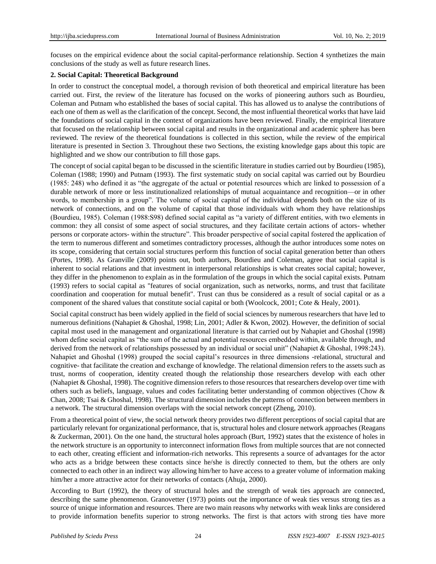focuses on the empirical evidence about the social capital-performance relationship. Section 4 synthetizes the main conclusions of the study as well as future research lines.

#### **2. Social Capital: Theoretical Background**

In order to construct the conceptual model, a thorough revision of both theoretical and empirical literature has been carried out. First, the review of the literature has focused on the works of pioneering authors such as Bourdieu, Coleman and Putnam who established the bases of social capital. This has allowed us to analyse the contributions of each one of them as well as the clarification of the concept. Second, the most influential theoretical works that have laid the foundations of social capital in the context of organizations have been reviewed. Finally, the empirical literature that focused on the relationship between social capital and results in the organizational and academic sphere has been reviewed. The review of the theoretical foundations is collected in this section, while the review of the empirical literature is presented in Section 3. Throughout these two Sections, the existing knowledge gaps about this topic are highlighted and we show our contribution to fill those gaps.

The concept of social capital began to be discussed in the scientific literature in studies carried out by Bourdieu (1985), Coleman (1988; 1990) and Putnam (1993). The first systematic study on social capital was carried out by Bourdieu  $(1985: 248)$  who defined it as "the aggregate of the actual or potential resources which are linked to possession of a durable network of more or less institutionalized relationships of mutual acquaintance and recognition—or in other words, to membership in a group". The volume of social capital of the individual depends both on the size of its network of connections, and on the volume of capital that those individuals with whom they have relationships (Bourdieu, 1985). Coleman (1988:S98) defined social capital as "a variety of different entities, with two elements in common: they all consist of some aspect of social structures, and they facilitate certain actions of actors- whether persons or corporate actors- within the structure‖. This broader perspective of social capital fostered the application of the term to numerous different and sometimes contradictory processes, although the author introduces some notes on its scope, considering that certain social structures perform this function of social capital generation better than others (Portes, 1998). As Granville (2009) points out, both authors, Bourdieu and Coleman, agree that social capital is inherent to social relations and that investment in interpersonal relationships is what creates social capital; however, they differ in the phenomenon to explain as in the formulation of the groups in which the social capital exists. Putnam (1993) refers to social capital as "features of social organization, such as networks, norms, and trust that facilitate coordination and cooperation for mutual benefit". Trust can thus be considered as a result of social capital or as a component of the shared values that constitute social capital or both (Woolcock, 2001; Cote & Healy, 2001).

Social capital construct has been widely applied in the field of social sciences by numerous researchers that have led to numerous definitions (Nahapiet & Ghoshal, 1998; Lin, 2001; Adler & Kwon, 2002). However, the definition of social capital most used in the management and organizational literature is that carried out by Nahapiet and Ghoshal (1998) whom define social capital as "the sum of the actual and potential resources embedded within, available through, and derived from the network of relationships possessed by an individual or social unit" (Nahapiet & Ghoshal, 1998:243). Nahapiet and Ghoshal (1998) grouped the social capital's resources in three dimensions -relational, structural and cognitive- that facilitate the creation and exchange of knowledge. The relational dimension refers to the assets such as trust, norms of cooperation, identity created though the relationship those researchers develop with each other (Nahapiet & Ghoshal, 1998). The cognitive dimension refers to those resources that researchers develop over time with others such as beliefs, language, values and codes facilitating better understanding of common objectives (Chow & Chan, 2008; Tsai & Ghoshal, 1998). The structural dimension includes the patterns of connection between members in a network. The structural dimension overlaps with the social network concept (Zheng, 2010).

From a theoretical point of view, the social network theory provides two different perceptions of social capital that are particularly relevant for organizational performance, that is, structural holes and closure network approaches (Reagans & Zuckerman, 2001). On the one hand, the structural holes approach (Burt, 1992) states that the existence of holes in the network structure is an opportunity to interconnect information flows from multiple sources that are not connected to each other, creating efficient and information-rich networks. This represents a source of advantages for the actor who acts as a bridge between these contacts since he/she is directly connected to them, but the others are only connected to each other in an indirect way allowing him/her to have access to a greater volume of information making him/her a more attractive actor for their networks of contacts (Ahuja, 2000).

According to Burt (1992), the theory of structural holes and the strength of weak ties approach are connected, describing the same phenomenon. Granovetter (1973) points out the importance of weak ties versus strong ties as a source of unique information and resources. There are two main reasons why networks with weak links are considered to provide information benefits superior to strong networks. The first is that actors with strong ties have more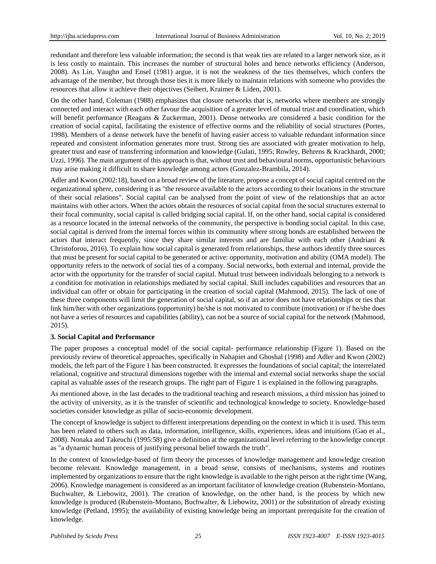redundant and therefore less valuable information; the second is that weak ties are related to a larger network size, as it is less costly to maintain. This increases the number of structural holes and hence networks efficiency (Anderson, 2008). As Lin, Vaughn and Ensel (1981) argue, it is not the weakness of the ties themselves, which confers the advantage of the member, but through those ties it is more likely to maintain relations with someone who provides the resources that allow it achieve their objectives (Seibert, Kraimer & Liden, 2001).

On the other hand, Coleman (1988) emphasizes that closure networks that is, networks where members are strongly connected and interact with each other favour the acquisition of a greater level of mutual trust and coordination, which will benefit performance (Reagans & Zuckerman, 2001). Dense networks are considered a basic condition for the creation of social capital, facilitating the existence of effective norms and the reliability of social structures (Portes, 1998). Members of a dense network have the benefit of having easier access to valuable redundant information since repeated and consistent information generates more trust. Strong ties are associated with greater motivation to help, greater trust and ease of transferring information and knowledge (Gulati, 1995; Rowley, Behrens & Krackhardt, 2000; Uzzi, 1996). The main argument of this approach is that, without trust and behavioural norms, opportunistic behaviours may arise making it difficult to share knowledge among actors (Gonzalez-Brambila, 2014).

Adler and Kwon (2002:18), based on a broad review of the literature, propose a concept of social capital centred on the organizational sphere, considering it as "the resource available to the actors according to their locations in the structure of their social relations". Social capital can be analysed from the point of view of the relationships that an actor maintains with other actors. When the actors obtain the resources of social capital from the social structures external to their focal community, social capital is called bridging social capital. If, on the other hand, social capital is considered as a resource located in the internal networks of the community, the perspective is bonding social capital. In this case, social capital is derived from the internal forces within its community where strong bonds are established between the actors that interact frequently, since they share similar interests and are familiar with each other (Andriani & Christoforou, 2016). To explain how social capital is generated from relationships, these authors identify three sources that must be present for social capital to be generated or active: opportunity, motivation and ability (OMA model). The opportunity refers to the network of social ties of a company. Social networks, both external and internal, provide the actor with the opportunity for the transfer of social capital. Mutual trust between individuals belonging to a network is a condition for motivation in relationships mediated by social capital. Skill includes capabilities and resources that an individual can offer or obtain for participating in the creation of social capital (Mahmood, 2015). The lack of one of these three components will limit the generation of social capital, so if an actor does not have relationships or ties that link him/her with other organizations (opportunity) he/she is not motivated to contribute (motivation) or if he/she does not have a series of resources and capabilities (ability), can not be a source of social capital for the network (Mahmood, 2015).

## **3. Social Capital and Performance**

The paper proposes a conceptual model of the social capital- performance relationship (Figure 1). Based on the previously review of theoretical approaches, specifically in Nahapiet and Ghoshal (1998) and Adler and Kwon (2002) models, the left part of the Figure 1 has been constructed. It expresses the foundations of social capital; the interrelated relational, cognitive and structural dimensions together with the internal and external social networks shape the social capital as valuable asses of the research groups. The right part of Figure 1 is explained in the following paragraphs.

As mentioned above, in the last decades to the traditional teaching and research missions, a third mission has joined to the activity of university, as it is the transfer of scientific and technological knowledge to society. Knowledge-based societies consider knowledge as pillar of socio-economic development.

The concept of knowledge is subject to different interpretations depending on the context in which it is used. This term has been related to others such as data, information, intelligence, skills, experiences, ideas and intuitions (Gao et al., 2008). Nonaka and Takeuchi (1995:58) give a definition at the organizational level referring to the knowledge concept as "a dynamic human process of justifying personal belief towards the truth".

In the context of knowledge-based of firm theory the processes of knowledge management and knowledge creation become relevant. Knowledge management, in a broad sense, consists of mechanisms, systems and routines implemented by organizations to ensure that the right knowledge is available to the right person at the right time (Wang, 2006). Knowledge management is considered as an important facilitator of knowledge creation (Rubenstein-Montano, Buchwalter, & Liebowitz, 2001). The creation of knowledge, on the other hand, is the process by which new knowledge is produced (Rubenstein-Montano, Buchwalter, & Liebowitz, 2001) or the substitution of already existing knowledge (Petland, 1995); the availability of existing knowledge being an important prerequisite for the creation of knowledge.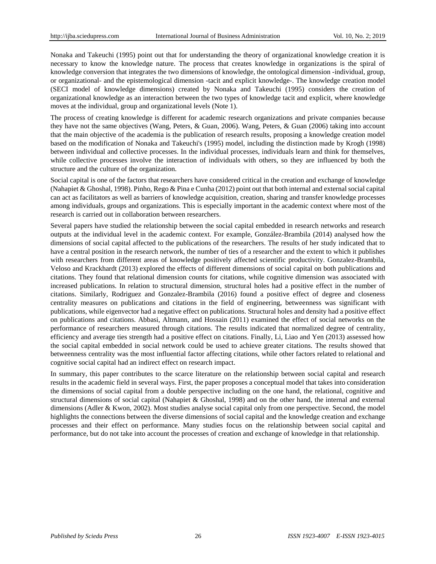Nonaka and Takeuchi (1995) point out that for understanding the theory of organizational knowledge creation it is necessary to know the knowledge nature. The process that creates knowledge in organizations is the spiral of knowledge conversion that integrates the two dimensions of knowledge, the ontological dimension -individual, group, or organizational- and the epistemological dimension -tacit and explicit knowledge-. The knowledge creation model (SECI model of knowledge dimensions) created by Nonaka and Takeuchi (1995) considers the creation of organizational knowledge as an interaction between the two types of knowledge tacit and explicit, where knowledge moves at the individual, group and organizational levels (Note 1).

The process of creating knowledge is different for academic research organizations and private companies because they have not the same objectives (Wang, Peters, & Guan, 2006). Wang, Peters, & Guan (2006) taking into account that the main objective of the academia is the publication of research results, proposing a knowledge creation model based on the modification of Nonaka and Takeuchi's (1995) model, including the distinction made by Krogh (1998) between individual and collective processes. In the individual processes, individuals learn and think for themselves, while collective processes involve the interaction of individuals with others, so they are influenced by both the structure and the culture of the organization.

Social capital is one of the factors that researchers have considered critical in the creation and exchange of knowledge (Nahapiet & Ghoshal, 1998). Pinho, Rego & Pina e Cunha (2012) point out that both internal and external social capital can act as facilitators as well as barriers of knowledge acquisition, creation, sharing and transfer knowledge processes among individuals, groups and organizations. This is especially important in the academic context where most of the research is carried out in collaboration between researchers.

Several papers have studied the relationship between the social capital embedded in research networks and research outputs at the individual level in the academic context. For example, González-Brambila (2014) analysed how the dimensions of social capital affected to the publications of the researchers. The results of her study indicated that to have a central position in the research network, the number of ties of a researcher and the extent to which it publishes with researchers from different areas of knowledge positively affected scientific productivity. Gonzalez-Brambila, Veloso and Krackhardt (2013) explored the effects of different dimensions of social capital on both publications and citations. They found that relational dimension counts for citations, while cognitive dimension was associated with increased publications. In relation to structural dimension, structural holes had a positive effect in the number of citations. Similarly, Rodriguez and Gonzalez-Brambila (2016) found a positive effect of degree and closeness centrality measures on publications and citations in the field of engineering, betweenness was significant with publications, while eigenvector had a negative effect on publications. Structural holes and density had a positive effect on publications and citations. Abbasi, Altmann, and Hossain (2011) examined the effect of social networks on the performance of researchers measured through citations. The results indicated that normalized degree of centrality, efficiency and average ties strength had a positive effect on citations. Finally, Li, Liao and Yen (2013) assessed how the social capital embedded in social network could be used to achieve greater citations. The results showed that betweenness centrality was the most influential factor affecting citations, while other factors related to relational and cognitive social capital had an indirect effect on research impact.

In summary, this paper contributes to the scarce literature on the relationship between social capital and research results in the academic field in several ways. First, the paper proposes a conceptual model that takes into consideration the dimensions of social capital from a double perspective including on the one hand, the relational, cognitive and structural dimensions of social capital (Nahapiet & Ghoshal, 1998) and on the other hand, the internal and external dimensions (Adler & Kwon, 2002). Most studies analyse social capital only from one perspective. Second, the model highlights the connections between the diverse dimensions of social capital and the knowledge creation and exchange processes and their effect on performance. Many studies focus on the relationship between social capital and performance, but do not take into account the processes of creation and exchange of knowledge in that relationship.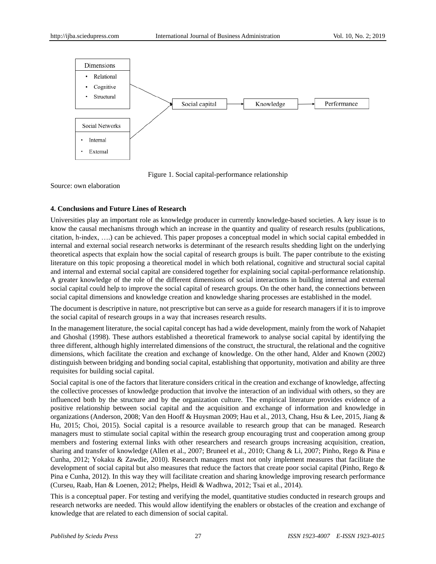

Figure 1. Social capital-performance relationship

Source: own elaboration

## **4. Conclusions and Future Lines of Research**

Universities play an important role as knowledge producer in currently knowledge-based societies. A key issue is to know the causal mechanisms through which an increase in the quantity and quality of research results (publications, citation, h-index, ….) can be achieved. This paper proposes a conceptual model in which social capital embedded in internal and external social research networks is determinant of the research results shedding light on the underlying theoretical aspects that explain how the social capital of research groups is built. The paper contribute to the existing literature on this topic proposing a theoretical model in which both relational, cognitive and structural social capital and internal and external social capital are considered together for explaining social capital-performance relationship. A greater knowledge of the role of the different dimensions of social interactions in building internal and external social capital could help to improve the social capital of research groups. On the other hand, the connections between social capital dimensions and knowledge creation and knowledge sharing processes are established in the model.

The document is descriptive in nature, not prescriptive but can serve as a guide for research managers if it is to improve the social capital of research groups in a way that increases research results.

In the management literature, the social capital concept has had a wide development, mainly from the work of Nahapiet and Ghoshal (1998). These authors established a theoretical framework to analyse social capital by identifying the three different, although highly interrelated dimensions of the construct, the structural, the relational and the cognitive dimensions, which facilitate the creation and exchange of knowledge. On the other hand, Alder and Known (2002) distinguish between bridging and bonding social capital, establishing that opportunity, motivation and ability are three requisites for building social capital.

Social capital is one of the factors that literature considers critical in the creation and exchange of knowledge, affecting the collective processes of knowledge production that involve the interaction of an individual with others, so they are influenced both by the structure and by the organization culture. The empirical literature provides evidence of a positive relationship between social capital and the acquisition and exchange of information and knowledge in organizations (Anderson, 2008; Van den Hooff & Huysman 2009; Hau et al., 2013, Chang, Hsu & Lee, 2015, Jiang & Hu, 2015; Choi, 2015). Social capital is a resource available to research group that can be managed. Research managers must to stimulate social capital within the research group encouraging trust and cooperation among group members and fostering external links with other researchers and research groups increasing acquisition, creation, sharing and transfer of knowledge (Allen et al., 2007; Bruneel et al., 2010; Chang & Li, 2007; Pinho, Rego & Pina e Cunha, 2012; Yokaku & Zawdie, 2010). Research managers must not only implement measures that facilitate the development of social capital but also measures that reduce the factors that create poor social capital (Pinho, Rego & Pina e Cunha, 2012). In this way they will facilitate creation and sharing knowledge improving research performance (Curseu, Raab, Han & Loenen, 2012; Phelps, Heidl & Wadhwa, 2012; Tsai et al., 2014).

This is a conceptual paper. For testing and verifying the model, quantitative studies conducted in research groups and research networks are needed. This would allow identifying the enablers or obstacles of the creation and exchange of knowledge that are related to each dimension of social capital.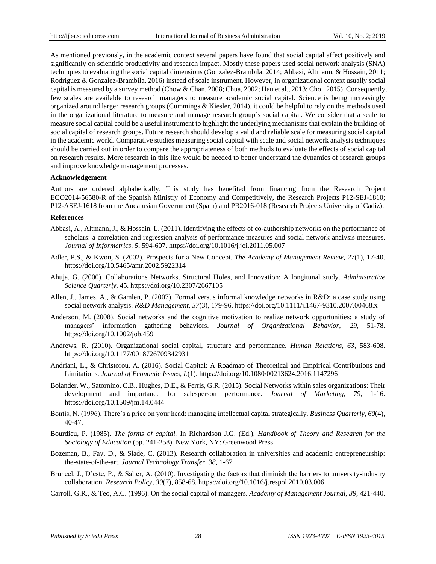As mentioned previously, in the academic context several papers have found that social capital affect positively and significantly on scientific productivity and research impact. Mostly these papers used social network analysis (SNA) techniques to evaluating the social capital dimensions (Gonzalez-Brambila, 2014; Abbasi, Altmann, & Hossain, 2011; Rodriguez & Gonzalez-Brambila, 2016) instead of scale instrument. However, in organizational context usually social capital is measured by a survey method (Chow & Chan, 2008; Chua, 2002; Hau et al., 2013; Choi, 2015). Consequently, few scales are available to research managers to measure academic social capital. Science is being increasingly organized around larger research groups (Cummings & Kiesler, 2014), it could be helpful to rely on the methods used in the organizational literature to measure and manage research group´s social capital. We consider that a scale to measure social capital could be a useful instrument to highlight the underlying mechanisms that explain the building of social capital of research groups. Future research should develop a valid and reliable scale for measuring social capital in the academic world. Comparative studies measuring social capital with scale and social network analysis techniques should be carried out in order to compare the appropriateness of both methods to evaluate the effects of social capital on research results. More research in this line would be needed to better understand the dynamics of research groups and improve knowledge management processes.

#### **Acknowledgement**

Authors are ordered alphabetically. This study has benefited from financing from the Research Project ECO2014-56580-R of the Spanish Ministry of Economy and Competitively, the Research Projects P12-SEJ-1810; P12-ASEJ-1618 from the Andalusian Government (Spain) and PR2016-018 (Research Projects University of Cadiz).

#### **References**

- Abbasi, A., Altmann, J., & Hossain, L. (2011). Identifying the effects of co-authorship networks on the performance of scholars: a correlation and regression analysis of performance measures and social network analysis measures. *Journal of Informetrics, 5*, 594-607. https://doi.org/10.1016/j.joi.2011.05.007
- Adler, P.S., & Kwon, S. (2002). Prospects for a New Concept. *The Academy of Management Review, 27*(1), 17-40. https://doi.org/10.5465/amr.2002.5922314
- Ahuja, G. (2000). Collaborations Networks, Structural Holes, and Innovation: A longitunal study. *Administrative Science Quarterly*, 45. https://doi.org/10.2307/2667105
- Allen, J., James, A., & Gamlen, P. (2007). Formal versus informal knowledge networks in R&D: a case study using social network analysis. *R&D Management, 37*(3), 179-96. https://doi.org/10.1111/j.1467-9310.2007.00468.x
- Anderson, M. (2008). Social networks and the cognitive motivation to realize network opportunities: a study of managers' information gathering behaviors. *Journal of Organizational Behavior, 29*, 51-78. https://doi.org/10.1002/job.459
- Andrews, R. (2010). Organizational social capital, structure and performance. *Human Relations, 63*, 583-608. https://doi.org/10.1177/0018726709342931
- Andriani, L., & Christorou, A. (2016). Social Capital: A Roadmap of Theoretical and Empirical Contributions and Limitations. *Journal of Economic Issues, L*(1). https://doi.org/10.1080/00213624.2016.1147296
- Bolander, W., Satornino, C.B., Hughes, D.E., & Ferris, G.R. (2015). Social Networks within sales organizations: Their development and importance for salesperson performance. *Journal of Marketing, 79*, 1-16. https://doi.org/10.1509/jm.14.0444
- Bontis, N. (1996). There's a price on your head: managing intellectual capital strategically. *Business Quarterly, 60*(4), 40-47.
- Bourdieu, P. (1985). *The forms of capital.* In Richardson J.G. (Ed.), *Handbook of Theory and Research for the Sociology of Education* (pp. 241-258). New York, NY: Greenwood Press.
- Bozeman, B., Fay, D., & Slade, C. (2013). Research collaboration in universities and academic entrepreneurship: the-state-of-the-art. *Journal Technology Transfer, 38*, 1-67.
- Bruneel, J., D'este, P., & Salter, A. (2010). Investigating the factors that diminish the barriers to university-industry collaboration. *Research Policy, 39*(7), 858-68. https://doi.org/10.1016/j.respol.2010.03.006
- Carroll, G.R., & Teo, A.C. (1996). On the social capital of managers. *Academy of Management Journal, 39*, 421-440.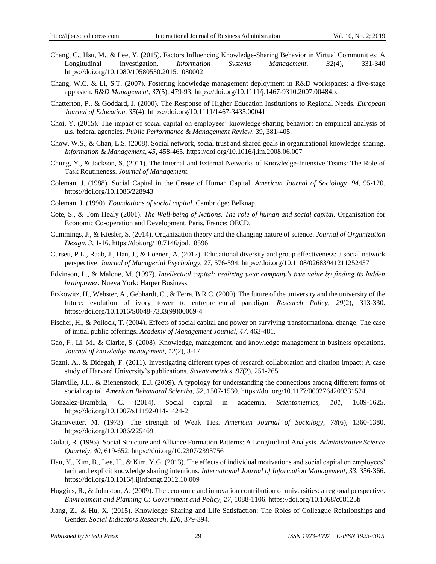- Chang, C., Hsu, M., & Lee, Y. (2015). Factors Influencing Knowledge-Sharing Behavior in Virtual Communities: A Longitudinal Investigation. *Information Systems Management, 32*(4), 331-340 https://doi.org/10.1080/10580530.2015.1080002
- Chang, W.C. & Li, S.T. (2007). Fostering knowledge management deployment in R&D workspaces: a five-stage approach. *R&D Management, 37*(5), 479-93. https://doi.org/10.1111/j.1467-9310.2007.00484.x
- Chatterton, P., & Goddard, J. (2000). The Response of Higher Education Institutions to Regional Needs. *European Journal of Education, 35*(4). https://doi.org/10.1111/1467-3435.00041
- Choi, Y. (2015). The impact of social capital on employees' knowledge-sharing behavior: an empirical analysis of u.s. federal agencies. *Public Performance & Management Review*, 39, 381-405.
- Chow, W.S., & Chan, L.S. (2008). Social network, social trust and shared goals in organizational knowledge sharing. *Information & Management, 45*, 458-465. https://doi.org/10.1016/j.im.2008.06.007
- Chung, Y., & Jackson, S. (2011). The Internal and External Networks of Knowledge-Intensive Teams: The Role of Task Routineness. *Journal of Management.*
- Coleman, J. (1988). Social Capital in the Create of Human Capital. *American Journal of Sociology, 94*, 95-120. https://doi.org/10.1086/228943
- Coleman, J. (1990). *Foundations of social capital*. Cambridge: Belknap.
- Cote, S., & Tom Healy (2001). *The Well-being of Nations. The role of human and social capital.* Organisation for Economic Co-operation and Development. Paris, France: OECD.
- Cummings, J., & Kiesler, S. (2014). Organization theory and the changing nature of science. *Journal of Organization Design, 3*, 1-16. https://doi.org/10.7146/jod.18596
- Curseu, P.L., Raab, J., Han, J., & Loenen, A. (2012). Educational diversity and group effectiveness: a social network perspective. *Journal of Managerial Psychology, 27*, 576-594. https://doi.org/10.1108/02683941211252437
- Edvinson, L., & Malone, M. (1997). *Intellectual capital: realizing your company's true value by finding its hidden brainpower.* Nueva York: Harper Business.
- Etzkowitz, H., Webster, A., Gebhardt, C., & Terra, B.R.C. (2000). The future of the university and the university of the future: evolution of ivory tower to entrepreneurial paradigm. *Research Policy, 29*(2), 313-330. https://doi.org/10.1016/S0048-7333(99)00069-4
- Fischer, H., & Pollock, T. (2004). Effects of social capital and power on surviving transformational change: The case of initial public offerings. *Academy of Management Journal, 47*, 463-481.
- Gao, F., Li, M., & Clarke, S. (2008). Knowledge, management, and knowledge management in business operations. *Journal of knowledge management, 12*(2), 3-17.
- Gazni, A., & Didegah, F. (2011). Investigating different types of research collaboration and citation impact: A case study of Harvard University's publications. *Scientometrics*, *87*(2), 251-265.
- Glanville, J.L., & Bienenstock, E.J. (2009). A typology for understanding the connections among different forms of social capital. *American Behavioral Scientist, 52*, 1507-1530. https://doi.org/10.1177/0002764209331524
- Gonzalez-Brambila, C. (2014). Social capital in academia. *Scientometrics, 101*, 1609-1625. https://doi.org/10.1007/s11192-014-1424-2
- Granovetter, M. (1973). The strength of Weak Ties. *American Journal of Sociology, 78*(6), 1360-1380. https://doi.org/10.1086/225469
- Gulati, R. (1995). Social Structure and Alliance Formation Patterns: A Longitudinal Analysis. *Administrative Science Quartely, 40*, 619-652. https://doi.org/10.2307/2393756
- Hau, Y., Kim, B., Lee, H., & Kim, Y.G. (2013). The effects of individual motivations and social capital on employees' tacit and explicit knowledge sharing intentions. *International Journal of Information Management, 33*, 356-366. https://doi.org/10.1016/j.ijinfomgt.2012.10.009
- Huggins, R., & Johnston, A. (2009). The economic and innovation contribution of universities: a regional perspective. *Environment and Planning C: Government and Policy, 27*, 1088-1106. https://doi.org/10.1068/c08125b
- Jiang, Z., & Hu, X. (2015). Knowledge Sharing and Life Satisfaction: The Roles of Colleague Relationships and Gender. *Social Indicators Research, 126*, 379-394.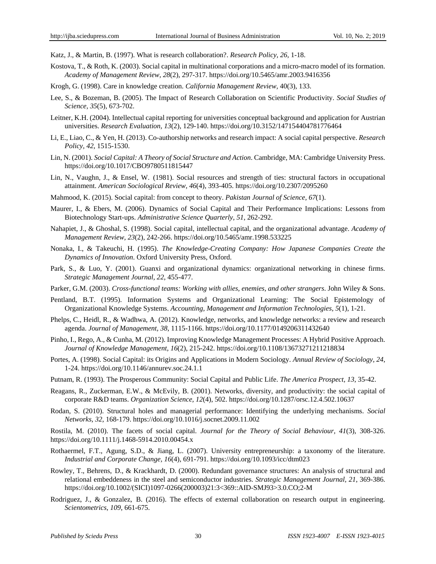Katz, J., & Martin, B. (1997). What is research collaboration?. *Research Policy, 26*, 1-18.

- Kostova, T., & Roth, K. (2003). Social capital in multinational corporations and a micro-macro model of its formation. *Academy of Management Review, 28*(2), 297-317. https://doi.org/10.5465/amr.2003.9416356
- Krogh, G. (1998). Care in knowledge creation. *California Management Review,* 40(3), 133.
- Lee, S., & Bozeman, B. (2005). The Impact of Research Collaboration on Scientific Productivity. *Social Studies of Science, 35*(5), 673-702.
- Leitner, K.H. (2004). Intellectual capital reporting for universities conceptual background and application for Austrian universities. *Research Evaluation, 13*(2), 129-140. https://doi.org/10.3152/147154404781776464
- Li, E., Liao, C., & Yen, H. (2013). Co-authorship networks and research impact: A social capital perspective. *Research Policy, 42*, 1515-1530.
- Lin, N. (2001). *Social Capital: A Theory of Social Structure and Action*. Cambridge, MA: Cambridge University Press. https://doi.org/10.1017/CBO9780511815447
- Lin, N., Vaughn, J., & Ensel, W. (1981). Social resources and strength of ties: structural factors in occupational attainment. *American Sociological Review, 46*(4), 393-405. https://doi.org/10.2307/2095260
- Mahmood, K. (2015). Social capital: from concept to theory. *Pakistan Journal of Science, 67*(1).
- Maurer, I., & Ebers, M. (2006). Dynamics of Social Capital and Their Performance Implications: Lessons from Biotechnology Start-ups. *Administrative Science Quarterly, 51*, 262-292.
- Nahapiet, J., & Ghoshal, S. (1998). Social capital, intellectual capital, and the organizational advantage. *Academy of Management Review, 23*(2), 242-266. https://doi.org/10.5465/amr.1998.533225
- Nonaka, I., & Takeuchi, H. (1995). *The Knowledge-Creating Company: How Japanese Companies Create the Dynamics of Innovation*. Oxford University Press, Oxford.
- Park, S., & Luo, Y. (2001). Guanxi and organizational dynamics: organizational networking in chinese firms. *Strategic Management Journal, 22*, 455-477.
- Parker, G.M. (2003). *Cross-functional teams: Working with allies, enemies, and other strangers*. John Wiley & Sons.
- Pentland, B.T. (1995). Information Systems and Organizational Learning: The Social Epistemology of Organizational Knowledge Systems. *Accounting, Management and Information Technologies, 5*(1), 1-21.
- Phelps, C., Heidl, R., & Wadhwa, A. (2012). Knowledge, networks, and knowledge networks: a review and research agenda. *Journal of Management, 38*, 1115-1166. https://doi.org/10.1177/0149206311432640
- Pinho, I., Rego, A., & Cunha, M. (2012). Improving Knowledge Management Processes: A Hybrid Positive Approach. *Journal of Knowledge Management, 16*(2), 215-242. https://doi.org/10.1108/13673271211218834
- Portes, A. (1998). Social Capital: its Origins and Applications in Modern Sociology. *Annual Review of Sociology, 24*, 1-24. https://doi.org/10.1146/annurev.soc.24.1.1
- Putnam, R. (1993). The Prosperous Community: Social Capital and Public Life. *The America Prospect, 13*, 35-42.
- Reagans, R., Zuckerman, E.W., & McEvily, B. (2001). Networks, diversity, and productivity: the social capital of corporate R&D teams. *Organization Science, 12*(4), 502. https://doi.org/10.1287/orsc.12.4.502.10637
- Rodan, S. (2010). Structural holes and managerial performance: Identifying the underlying mechanisms. *Social Networks, 32*, 168-179. https://doi.org/10.1016/j.socnet.2009.11.002

Rostila, M. (2010). The facets of social capital. *Journal for the Theory of Social Behaviour, 41*(3), 308-326. https://doi.org/10.1111/j.1468-5914.2010.00454.x

- Rothaermel, F.T., Agung, S.D., & Jiang, L. (2007). University entrepreneurship: a taxonomy of the literature. *Industrial and Corporate Change, 16*(4), 691-791. https://doi.org/10.1093/icc/dtm023
- Rowley, T., Behrens, D., & Krackhardt, D. (2000). Redundant governance structures: An analysis of structural and relational embeddeness in the steel and semiconductor industries. *Strategic Management Journal, 21*, 369-386. https://doi.org/10.1002/(SICI)1097-0266(200003)21:3<369::AID-SMJ93>3.0.CO;2-M
- Rodriguez, J., & Gonzalez, B. (2016). The effects of external collaboration on research output in engineering. *Scientometrics, 109*, 661-675.